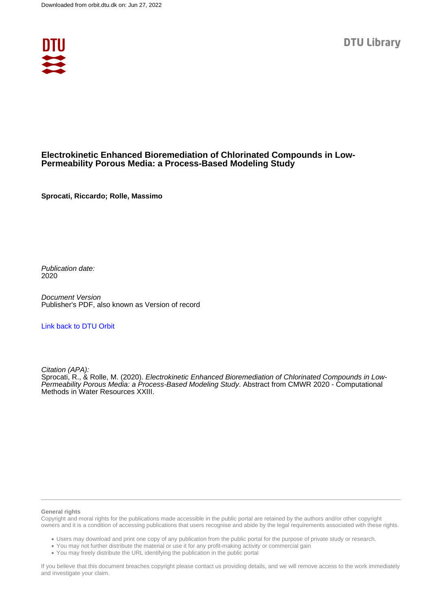

### **Electrokinetic Enhanced Bioremediation of Chlorinated Compounds in Low-Permeability Porous Media: a Process-Based Modeling Study**

**Sprocati, Riccardo; Rolle, Massimo**

Publication date: 2020

Document Version Publisher's PDF, also known as Version of record

### [Link back to DTU Orbit](https://orbit.dtu.dk/en/publications/c9dd2c23-4bce-42a9-9be1-576cdfd2991f)

Citation (APA):

Sprocati, R., & Rolle, M. (2020). Electrokinetic Enhanced Bioremediation of Chlorinated Compounds in Low-Permeability Porous Media: a Process-Based Modeling Study. Abstract from CMWR 2020 - Computational Methods in Water Resources XXIII.

#### **General rights**

Copyright and moral rights for the publications made accessible in the public portal are retained by the authors and/or other copyright owners and it is a condition of accessing publications that users recognise and abide by the legal requirements associated with these rights.

Users may download and print one copy of any publication from the public portal for the purpose of private study or research.

- You may not further distribute the material or use it for any profit-making activity or commercial gain
- You may freely distribute the URL identifying the publication in the public portal

If you believe that this document breaches copyright please contact us providing details, and we will remove access to the work immediately and investigate your claim.